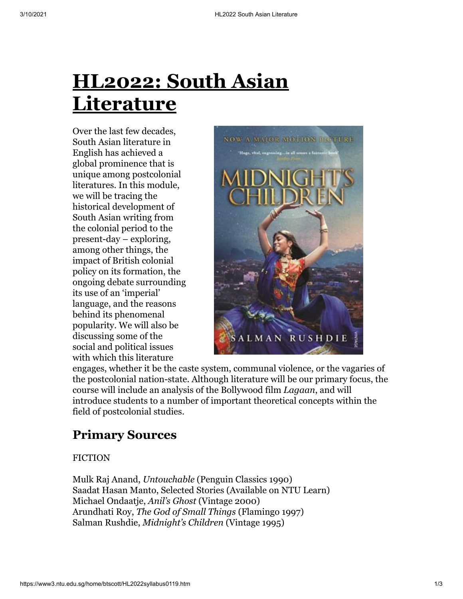Over the last few decades, South Asian literature in English has achieved a global prominence that is unique among postcolonial literatures. In this module, we will be tracing the historical development of South Asian writing from the colonial period to the present-day – exploring, among other things, the impact of British colonial policy on its formation, the ongoing debate surrounding its use of an 'imperial' language, and the reasons behind its phenomenal popularity. We will also be discussing some of the social and political issues with which this literature



engages, whether it be the caste system, communal violence, or the vagaries of the postcolonial nation-state. Although literature will be our primary focus, the course will include an analysis of the Bollywood film *Lagaan*, and will introduce students to a number of important theoretical concepts within the field of postcolonial studies.

# **Primary Sources**

#### **FICTION**

Mulk Raj Anand, *Untouchable* (Penguin Classics 1990) Saadat Hasan Manto, Selected Stories (Available on NTU Learn) Michael Ondaatje, *Anil's Ghost* (Vintage 2000) Arundhati Roy, *The God of Small Things* (Flamingo 1997) Salman Rushdie, *Midnight's Children* (Vintage 1995)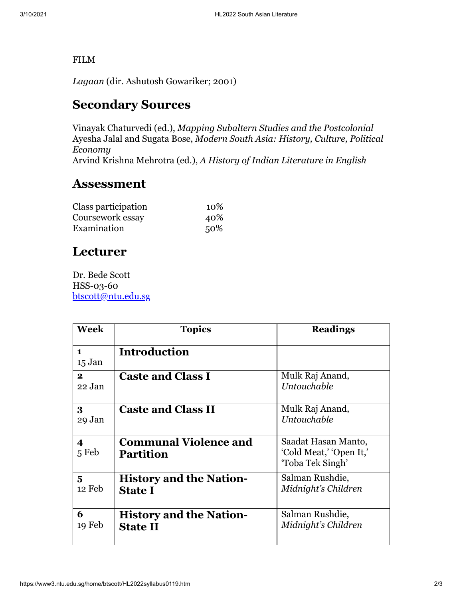#### FILM

*Lagaan* (dir. Ashutosh Gowariker; 2001)

## **Secondary Sources**

Vinayak Chaturvedi (ed.), *Mapping Subaltern Studies and the Postcolonial* Ayesha Jalal and Sugata Bose, *Modern South Asia: History, Culture, Political Economy* Arvind Krishna Mehrotra (ed.), *A History of Indian Literature in English*

#### **Assessment**

| Class participation | 10\% |
|---------------------|------|
| Coursework essay    | 40%  |
| Examination         | 50%  |

## **Lecturer**

Dr. Bede Scott HSS-03-60 [btscott@ntu.edu.sg](mailto:btscott@ntu.edu.sg)

| <b>Week</b>                      | <b>Topics</b>                                     | <b>Readings</b>                                                    |
|----------------------------------|---------------------------------------------------|--------------------------------------------------------------------|
| $\blacksquare$<br>15 Jan         | Introduction                                      |                                                                    |
| $\mathbf{2}$<br>22 Jan           | <b>Caste and Class I</b>                          | Mulk Raj Anand,<br>Untouchable                                     |
| 3<br>29 Jan                      | <b>Caste and Class II</b>                         | Mulk Raj Anand,<br>Untouchable                                     |
| $\overline{\mathbf{4}}$<br>5 Feb | <b>Communal Violence and</b><br><b>Partition</b>  | Saadat Hasan Manto,<br>'Cold Meat,' 'Open It,'<br>'Toba Tek Singh' |
| 5<br>12 Feb                      | <b>History and the Nation-</b><br><b>State I</b>  | Salman Rushdie,<br>Midnight's Children                             |
| 6<br>19 Feb                      | <b>History and the Nation-</b><br><b>State II</b> | Salman Rushdie,<br>Midnight's Children                             |